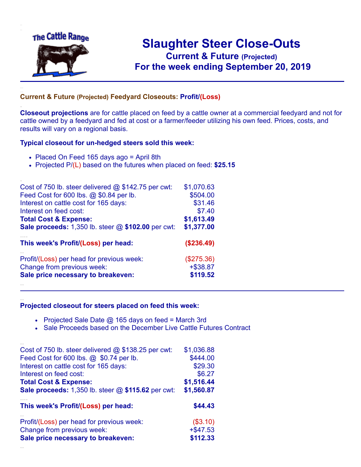

.

..

..

# **Slaughter Steer Close-Outs Current & Future (Projected)** .**For the week ending September 20, 2019**

### **Current & Future (Projected) Feedyard Closeouts: Profit/(Loss)**

**Closeout projections** are for cattle placed on feed by a cattle owner at a commercial feedyard and not for cattle owned by a feedyard and fed at cost or a farmer/feeder utilizing his own feed. Prices, costs, and results will vary on a regional basis.

#### **Typical closeout for un-hedged steers sold this week:**

- Placed On Feed 165 days ago = April 8th
- Projected P/(L) based on the futures when placed on feed: **\$25.15**

| Cost of 750 lb. steer delivered $@$ \$142.75 per cwt: | \$1,070.63  |
|-------------------------------------------------------|-------------|
| Feed Cost for 600 lbs. @ \$0.84 per lb.               | \$504.00    |
| Interest on cattle cost for 165 days:                 | \$31.46     |
| Interest on feed cost:                                | \$7.40      |
| <b>Total Cost &amp; Expense:</b>                      | \$1,613.49  |
| Sale proceeds: 1,350 lb. steer @ \$102.00 per cwt:    | \$1,377.00  |
| This week's Profit/(Loss) per head:                   | (\$236.49)  |
| Profit/(Loss) per head for previous week:             | (\$275.36)  |
| Change from previous week:                            | $+$ \$38.87 |
| Sale price necessary to breakeven:                    | \$119.52    |
|                                                       |             |

#### **Projected closeout for steers placed on feed this week:**

- Projected Sale Date  $@$  165 days on feed = March 3rd
- Sale Proceeds based on the December Live Cattle Futures Contract

| Cost of 750 lb. steer delivered $@$ \$138.25 per cwt:     | \$1,036.88  |
|-----------------------------------------------------------|-------------|
| Feed Cost for 600 lbs. @ \$0.74 per lb.                   | \$444.00    |
| Interest on cattle cost for 165 days:                     | \$29.30     |
| Interest on feed cost:                                    | \$6.27      |
| <b>Total Cost &amp; Expense:</b>                          | \$1,516.44  |
| <b>Sale proceeds:</b> 1,350 lb. steer @ \$115.62 per cwt: | \$1,560.87  |
|                                                           |             |
| This week's Profit/(Loss) per head:                       | \$44.43     |
| Profit/(Loss) per head for previous week:                 | (\$3.10)    |
| Change from previous week:                                | $+$ \$47.53 |
| Sale price necessary to breakeven:                        | \$112.33    |